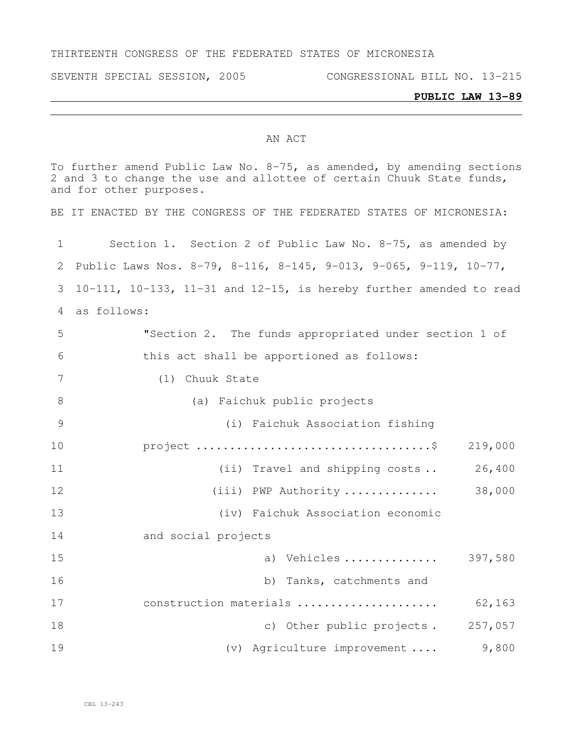#### THIRTEENTH CONGRESS OF THE FEDERATED STATES OF MICRONESIA

SEVENTH SPECIAL SESSION, 2005 CONGRESSIONAL BILL NO. 13-215

#### **PUBLIC LAW 13-89**

#### AN ACT

To further amend Public Law No. 8-75, as amended, by amending sections and 3 to change the use and allottee of certain Chuuk State funds, and for other purposes. BE IT ENACTED BY THE CONGRESS OF THE FEDERATED STATES OF MICRONESIA: Section 1. Section 2 of Public Law No. 8-75, as amended by Public Laws Nos. 8-79, 8-116, 8-145, 9-013, 9-065, 9-119, 10-77, 10-111, 10-133, 11-31 and 12-15, is hereby further amended to read as follows: "Section 2. The funds appropriated under section 1 of this act shall be apportioned as follows: (1) Chuuk State (a) Faichuk public projects (i) Faichuk Association fishing project ...................................\$ 219,000 11 (ii) Travel and shipping costs .. 26,400 (iii) PWP Authority .............. 38,000 (iv) Faichuk Association economic and social projects a) Vehicles .............. 397,580 b) Tanks, catchments and construction materials ..................... 62,163 18 c) Other public projects. 257,057 (v) Agriculture improvement .... 9,800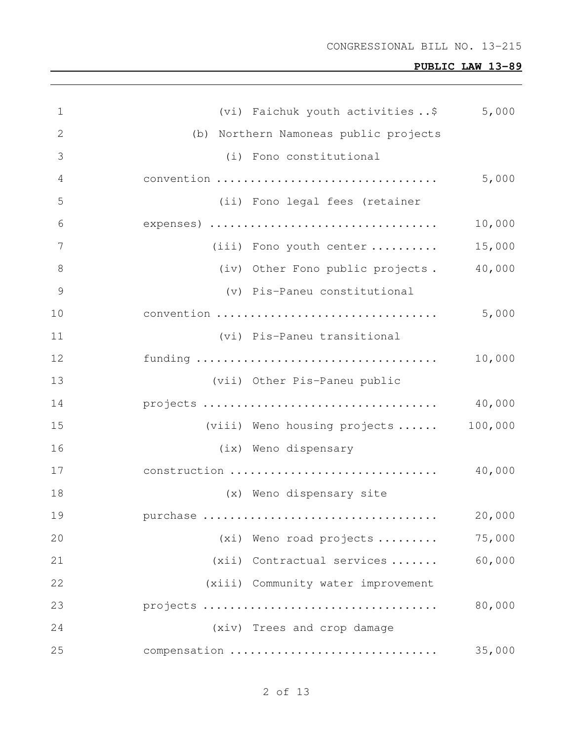| $\mathbf 1$  | (vi) Faichuk youth activities\$       | 5,000   |
|--------------|---------------------------------------|---------|
| $\mathbf{2}$ | (b) Northern Namoneas public projects |         |
| 3            | (i) Fono constitutional               |         |
| 4            | convention                            | 5,000   |
| 5            | (ii) Fono legal fees (retainer        |         |
| 6            | expenses)                             | 10,000  |
| 7            | (iii) Fono youth center               | 15,000  |
| 8            | (iv) Other Fono public projects.      | 40,000  |
| 9            | (v) Pis-Paneu constitutional          |         |
| 10           | convention                            | 5,000   |
| 11           | (vi) Pis-Paneu transitional           |         |
| 12           |                                       | 10,000  |
| 13           | (vii) Other Pis-Paneu public          |         |
| 14           |                                       | 40,000  |
| 15           | (viii) Weno housing projects          | 100,000 |
| 16           | (ix) Weno dispensary                  |         |
| 17           | construction                          | 40,000  |
| 18           | (x) Weno dispensary site              |         |
| 19           | purchase                              | 20,000  |
| 20           | (xi) Weno road projects               | 75,000  |
| 21           | (xii) Contractual services            | 60,000  |
| 22           | (xiii) Community water improvement    |         |
| 23           | projects                              | 80,000  |
| 24           | (xiv) Trees and crop damage           |         |
| 25           | compensation                          | 35,000  |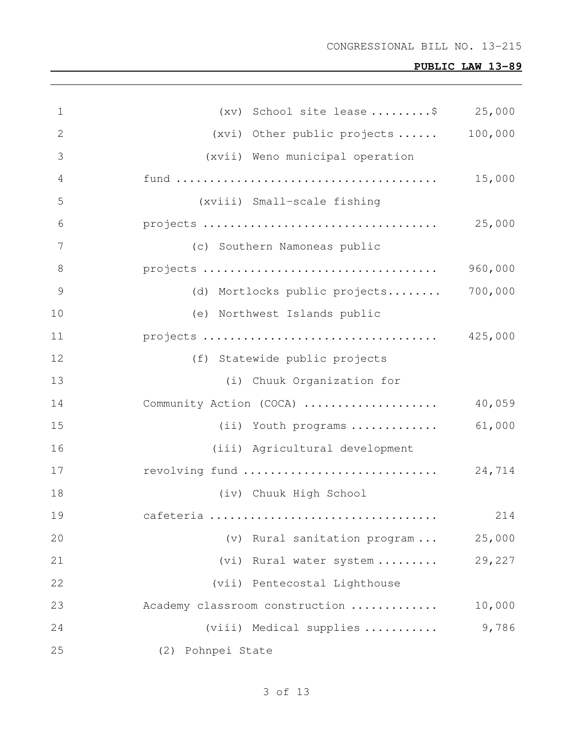| $\mathbf 1$     | (xv) School site lease \$ 25,000 |         |
|-----------------|----------------------------------|---------|
| $\mathbf{2}$    | (xvi) Other public projects      | 100,000 |
| 3               | (xvii) Weno municipal operation  |         |
| 4               |                                  | 15,000  |
| 5               | (xviii) Small-scale fishing      |         |
| 6               |                                  | 25,000  |
| $7\phantom{.0}$ | (c) Southern Namoneas public     |         |
| 8               |                                  | 960,000 |
| $\mathcal{G}$   | (d) Mortlocks public projects    | 700,000 |
| 10              | (e) Northwest Islands public     |         |
| 11              | projects                         | 425,000 |
| 12              | (f) Statewide public projects    |         |
| 13              | (i) Chuuk Organization for       |         |
| 14              | Community Action (COCA)          | 40,059  |
| 15              | (ii) Youth programs              | 61,000  |
| 16              | (iii) Agricultural development   |         |
| 17              |                                  |         |
| 18              | (iv) Chuuk High School           |         |
| 19              | cafeteria                        | 214     |
| 20              | (v) Rural sanitation program     | 25,000  |
| 21              | (vi) Rural water system          | 29,227  |
| 22              | (vii) Pentecostal Lighthouse     |         |
| 23              | Academy classroom construction   | 10,000  |
| 24              | (viii) Medical supplies          | 9,786   |
| 25              | (2) Pohnpei State                |         |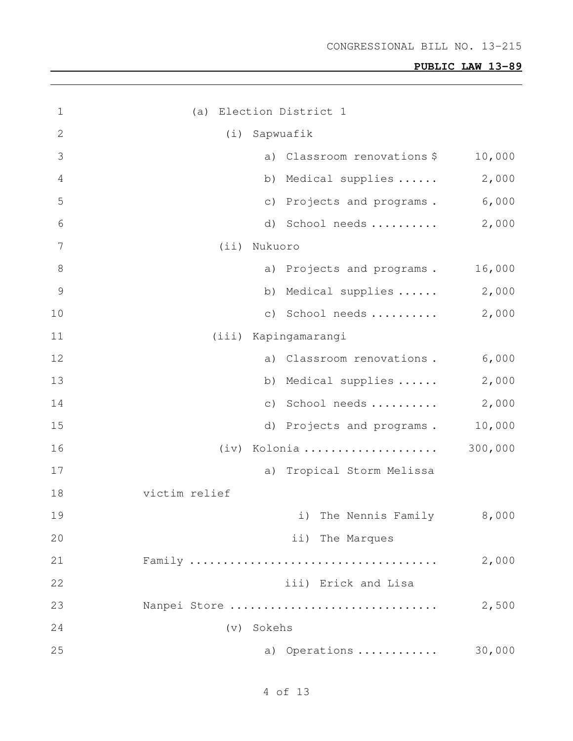| $\mathbf 1$    | (a) Election District 1         |         |
|----------------|---------------------------------|---------|
| $\overline{2}$ | (i)<br>Sapwuafik                |         |
| 3              | a) Classroom renovations \$     | 10,000  |
| 4              | b) Medical supplies             | 2,000   |
| 5              | c) Projects and programs. 6,000 |         |
| 6              | d) School needs                 | 2,000   |
| 7              | (iii)<br>Nukuoro                |         |
| $8\,$          | a) Projects and programs.       | 16,000  |
| 9              | b) Medical supplies  2,000      |         |
| 10             | c) School needs                 | 2,000   |
| 11             | (iii) Kapingamarangi            |         |
| 12             | a) Classroom renovations.       | 6,000   |
| 13             | b) Medical supplies             | 2,000   |
| 14             | c) School needs $2,000$         |         |
| 15             | d) Projects and programs.       | 10,000  |
| 16             | Kolonia<br>(iv)                 | 300,000 |
| 17             | Tropical Storm Melissa<br>a)    |         |
| 18             | victim relief                   |         |
| 19             | i) The Nennis Family 8,000      |         |
| 20             | ii) The Marques                 |         |
| 21             |                                 | 2,000   |
| 22             | iii) Erick and Lisa             |         |
| 23             | Nanpei Store                    | 2,500   |
| 24             | (v) Sokehs                      |         |
| 25             | a) Operations                   | 30,000  |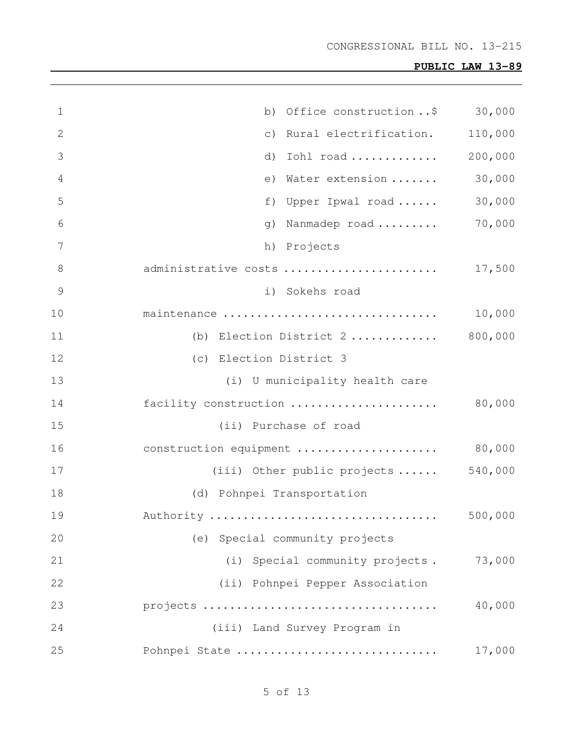| $\mathbf 1$    | b) Office construction $\ldots$ \$ 30,000 |         |
|----------------|-------------------------------------------|---------|
| $\mathbf{2}$   | c) Rural electrification.                 | 110,000 |
| 3              | Iohl road<br>d)                           | 200,000 |
| $\overline{4}$ | e) Water extension                        | 30,000  |
| 5              | f) Upper Ipwal road                       | 30,000  |
| 6              | g) Nanmadep road                          | 70,000  |
| 7              | h) Projects                               |         |
| 8              | administrative costs                      | 17,500  |
| $\mathcal{G}$  | i) Sokehs road                            |         |
| 10             | maintenance                               | 10,000  |
| 11             | (b) Election District 2                   | 800,000 |
| 12             | (c) Election District 3                   |         |
| 13             | (i) U municipality health care            |         |
| 14             | facility construction                     | 80,000  |
| 15             | (ii) Purchase of road                     |         |
| 16             | construction equipment                    | 80,000  |
| 17             | (iii) Other public projects               | 540,000 |
| 18             | (d) Pohnpei Transportation                |         |
| 19             | Authority                                 | 500,000 |
| 20             | (e) Special community projects            |         |
| 21             | (i) Special community projects.           | 73,000  |
| 22             | (ii) Pohnpei Pepper Association           |         |
| 23             |                                           | 40,000  |
| 24             | (iii) Land Survey Program in              |         |
| 25             | Pohnpei State                             | 17,000  |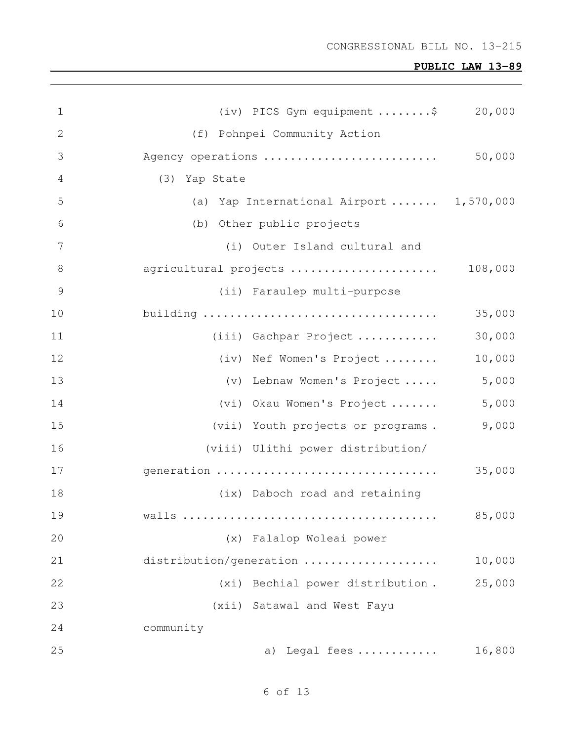| $\mathbf 1$     | (iv) PICS Gym equipment $\ldots \ldots$ \$ 20,000 |         |
|-----------------|---------------------------------------------------|---------|
| $\mathbf{2}$    | (f) Pohnpei Community Action                      |         |
| 3               | Agency operations                                 | 50,000  |
| 4               | (3) Yap State                                     |         |
| 5               | (a) Yap International Airport  1,570,000          |         |
| 6               | (b) Other public projects                         |         |
| $7\phantom{.0}$ | (i) Outer Island cultural and                     |         |
| 8               | agricultural projects                             | 108,000 |
| $\overline{9}$  | (ii) Faraulep multi-purpose                       |         |
| 10              | building                                          | 35,000  |
| 11              | (iii) Gachpar Project                             | 30,000  |
| 12              | (iv) Nef Women's Project                          | 10,000  |
| 13              | (v) Lebnaw Women's Project                        | 5,000   |
| 14              | (vi) Okau Women's Project                         | 5,000   |
| 15              | (vii) Youth projects or programs.                 | 9,000   |
| 16              | (viii) Ulithi power distribution/                 |         |
| 17              | generation                                        | 35,000  |
| 18              | (ix) Daboch road and retaining                    |         |
| 19              |                                                   | 85,000  |
| 20              | (x) Falalop Woleai power                          |         |
| 21              | distribution/generation                           | 10,000  |
| 22              | Bechial power distribution.<br>(xi)               | 25,000  |
| 23              | (xii) Satawal and West Fayu                       |         |
| 24              | community                                         |         |
| 25              | a) Legal fees                                     | 16,800  |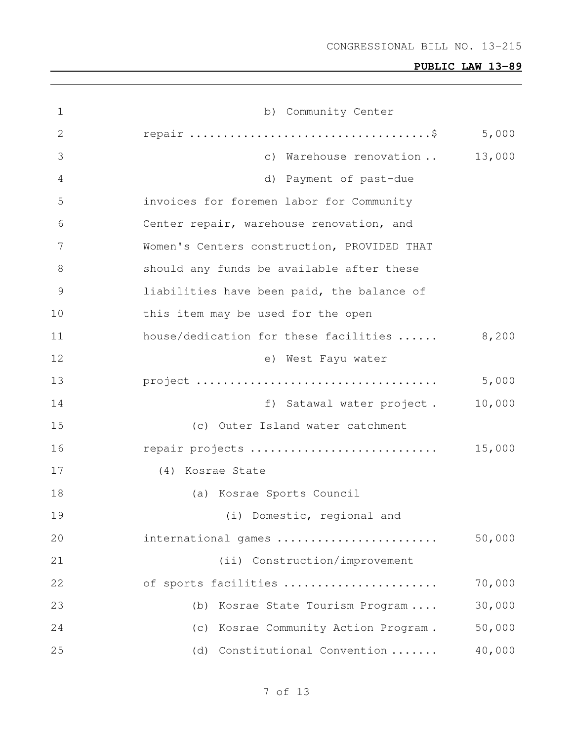| 1  | b) Community Center                         |        |
|----|---------------------------------------------|--------|
| 2  |                                             | 5,000  |
| 3  | c) Warehouse renovation                     | 13,000 |
| 4  | d) Payment of past-due                      |        |
| 5  | invoices for foremen labor for Community    |        |
| 6  | Center repair, warehouse renovation, and    |        |
| 7  | Women's Centers construction, PROVIDED THAT |        |
| 8  | should any funds be available after these   |        |
| 9  | liabilities have been paid, the balance of  |        |
| 10 | this item may be used for the open          |        |
| 11 | house/dedication for these facilities       | 8,200  |
| 12 | e) West Fayu water                          |        |
| 13 |                                             | 5,000  |
| 14 | f) Satawal water project.                   | 10,000 |
| 15 | (c) Outer Island water catchment            |        |
| 16 | repair projects                             | 15,000 |
| 17 | (4) Kosrae State                            |        |
| 18 | (a) Kosrae Sports Council                   |        |
| 19 | (i) Domestic, regional and                  |        |
| 20 | international games                         | 50,000 |
| 21 | (ii) Construction/improvement               |        |
| 22 | of sports facilities                        | 70,000 |
| 23 | Kosrae State Tourism Program<br>(b)         | 30,000 |
| 24 | Kosrae Community Action Program.<br>(C)     | 50,000 |
| 25 | (d) Constitutional Convention               | 40,000 |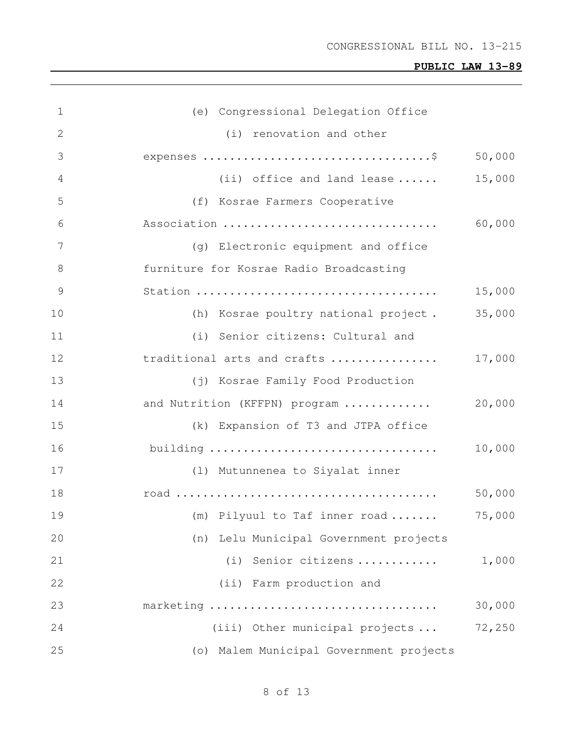| $\mathbf 1$    | (e) Congressional Delegation Office     |        |
|----------------|-----------------------------------------|--------|
| 2              | (i) renovation and other                |        |
| 3              |                                         | 50,000 |
| 4              | (ii) office and land lease $\ldots$ .   | 15,000 |
| 5              | (f) Kosrae Farmers Cooperative          |        |
| 6              | Association                             | 60,000 |
| 7              | (g) Electronic equipment and office     |        |
| 8              | furniture for Kosrae Radio Broadcasting |        |
| $\overline{9}$ |                                         | 15,000 |
| 10             | (h) Kosrae poultry national project.    | 35,000 |
| 11             | (i) Senior citizens: Cultural and       |        |
| 12             | traditional arts and crafts             | 17,000 |
| 13             | (j) Kosrae Family Food Production       |        |
| 14             | and Nutrition (KFFPN) program           | 20,000 |
| 15             | (k) Expansion of T3 and JTPA office     |        |
| 16             |                                         | 10,000 |
| 17             | (1) Mutunnenea to Siyalat inner         |        |
| 18             |                                         | 50,000 |
| 19             | (m) Pilyuul to Taf inner road           | 75,000 |
| 20             | (n) Lelu Municipal Government projects  |        |
| 21             | (i) Senior citizens                     | 1,000  |
| 22             | (ii) Farm production and                |        |
| 23             | marketing                               | 30,000 |
| 24             | (iii) Other municipal projects          | 72,250 |
| 25             | (o) Malem Municipal Government projects |        |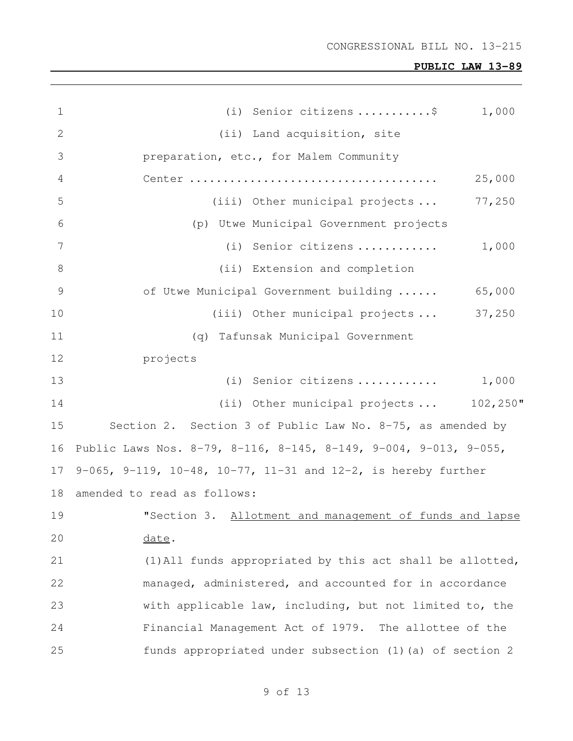| $\mathbf 1$    | (i) Senior citizens \$<br>1,000                                  |
|----------------|------------------------------------------------------------------|
| 2              | (ii) Land acquisition, site                                      |
| 3              | preparation, etc., for Malem Community                           |
| 4              | 25,000                                                           |
| 5              | (iii) Other municipal projects<br>77,250                         |
| 6              | (p) Utwe Municipal Government projects                           |
| 7              | 1,000<br>(i) Senior citizens                                     |
| 8              | (ii) Extension and completion                                    |
| $\overline{9}$ | of Utwe Municipal Government building<br>65,000                  |
| 10             | (iii) Other municipal projects  37,250                           |
| 11             | (q) Tafunsak Municipal Government                                |
| 12             | projects                                                         |
| 13             | 1,000<br>(i) Senior citizens                                     |
| 14             | (ii) Other municipal projects  102,250"                          |
| 15             | Section 2. Section 3 of Public Law No. 8-75, as amended by       |
| 16             | Public Laws Nos. 8-79, 8-116, 8-145, 8-149, 9-004, 9-013, 9-055, |
| 17             | 9-065, 9-119, 10-48, 10-77, 11-31 and 12-2, is hereby further    |
| 18             | amended to read as follows:                                      |
| 19             | "Section 3. Allotment and management of funds and lapse          |
| 20             | date.                                                            |
| 21             | (1) All funds appropriated by this act shall be allotted,        |
| 22             | managed, administered, and accounted for in accordance           |
| 23             | with applicable law, including, but not limited to, the          |
| 24             | Financial Management Act of 1979. The allottee of the            |
| 25             | funds appropriated under subsection (1) (a) of section 2         |
|                |                                                                  |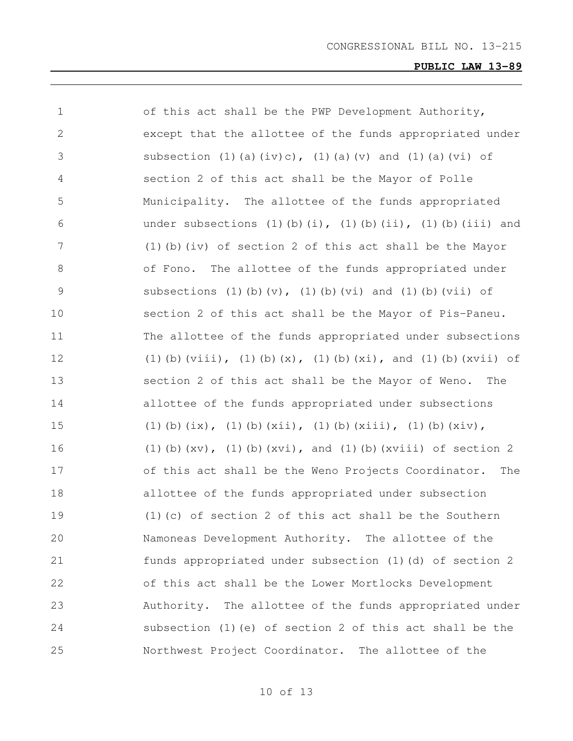| 1             | of this act shall be the PWP Development Authority,                                |
|---------------|------------------------------------------------------------------------------------|
| $\mathbf{2}$  | except that the allottee of the funds appropriated under                           |
| 3             | subsection (1)(a)(iv)c), (1)(a)(v) and (1)(a)(vi) of                               |
| 4             | section 2 of this act shall be the Mayor of Polle                                  |
| 5             | Municipality. The allottee of the funds appropriated                               |
| 6             | under subsections $(1)$ $(b)$ $(i)$ , $(1)$ $(b)$ $(ii)$ , $(1)$ $(b)$ $(iii)$ and |
| 7             | (1) (b) (iv) of section 2 of this act shall be the Mayor                           |
| 8             | of Fono. The allottee of the funds appropriated under                              |
| $\mathcal{G}$ | subsections (1)(b)(v), (1)(b)(vi) and (1)(b)(vii) of                               |
| 10            | section 2 of this act shall be the Mayor of Pis-Paneu.                             |
| 11            | The allottee of the funds appropriated under subsections                           |
| 12            | (1) (b) $(viii)$ , (1) (b) $(x)$ , (1) (b) $(xi)$ , and (1) (b) $(xvii)$ of        |
| 13            | section 2 of this act shall be the Mayor of Weno.<br>The                           |
| 14            | allottee of the funds appropriated under subsections                               |
| 15            | (1) (b) $(ix)$ , (1) (b) $(xii)$ , (1) (b) $(xiii)$ , (1) (b) $(xiv)$ ,            |
| 16            | $(1)$ (b) (xv), $(1)$ (b) (xvi), and (1) (b) (xviii) of section 2                  |
| 17            | of this act shall be the Weno Projects Coordinator. The                            |
| 18            | allottee of the funds appropriated under subsection                                |
| 19            | $(1)$ (c) of section 2 of this act shall be the Southern                           |
| 20            | Namoneas Development Authority. The allottee of the                                |
| 21            | funds appropriated under subsection (1) (d) of section 2                           |
| 22            | of this act shall be the Lower Mortlocks Development                               |
| 23            | Authority. The allottee of the funds appropriated under                            |
| 24            | subsection (1) (e) of section 2 of this act shall be the                           |
| 25            | Northwest Project Coordinator. The allottee of the                                 |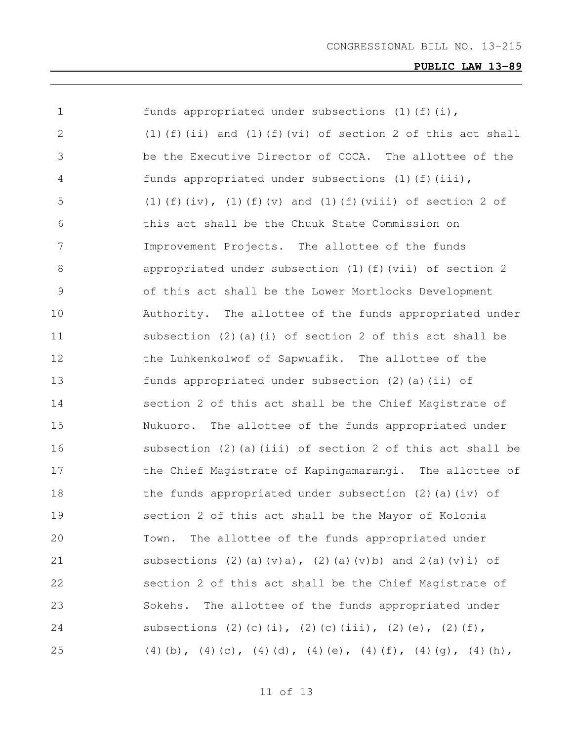| $\mathbf 1$ | funds appropriated under subsections $(1)$ (f) $(i)$ ,                  |
|-------------|-------------------------------------------------------------------------|
| 2           | $(1)$ (f) (ii) and (1) (f) (vi) of section 2 of this act shall          |
| 3           | be the Executive Director of COCA. The allottee of the                  |
| 4           | funds appropriated under subsections (1)(f)(iii),                       |
| 5           | (1) (f) $(iv)$ , (1) $(f)$ $(v)$ and (1) $(f)$ $(viii)$ of section 2 of |
| 6           | this act shall be the Chuuk State Commission on                         |
| 7           | Improvement Projects. The allottee of the funds                         |
| 8           | appropriated under subsection (1)(f)(vii) of section 2                  |
| 9           | of this act shall be the Lower Mortlocks Development                    |
| 10          | Authority. The allottee of the funds appropriated under                 |
| 11          | subsection $(2)$ (a) (i) of section 2 of this act shall be              |
| 12          | the Luhkenkolwof of Sapwuafik. The allottee of the                      |
| 13          | funds appropriated under subsection (2)(a)(ii) of                       |
| 14          | section 2 of this act shall be the Chief Magistrate of                  |
| 15          | Nukuoro. The allottee of the funds appropriated under                   |
| 16          | subsection (2) (a) (iii) of section 2 of this act shall be              |
| 17          | the Chief Magistrate of Kapingamarangi. The allottee of                 |
| 18          | the funds appropriated under subsection $(2)$ (a) (iv) of               |
| 19          | section 2 of this act shall be the Mayor of Kolonia                     |
| 20          | The allottee of the funds appropriated under<br>Town.                   |
| 21          | subsections (2)(a)(v)a), (2)(a)(v)b) and $2(a)(v)i$ of                  |
| 22          | section 2 of this act shall be the Chief Magistrate of                  |
| 23          | The allottee of the funds appropriated under<br>Sokehs.                 |
| 24          | subsections (2)(c)(i), (2)(c)(iii), (2)(e), (2)(f),                     |
| 25          | (4) (b), (4) (c), (4) (d), (4) (e), (4) (f), (4) (g), (4) (h),          |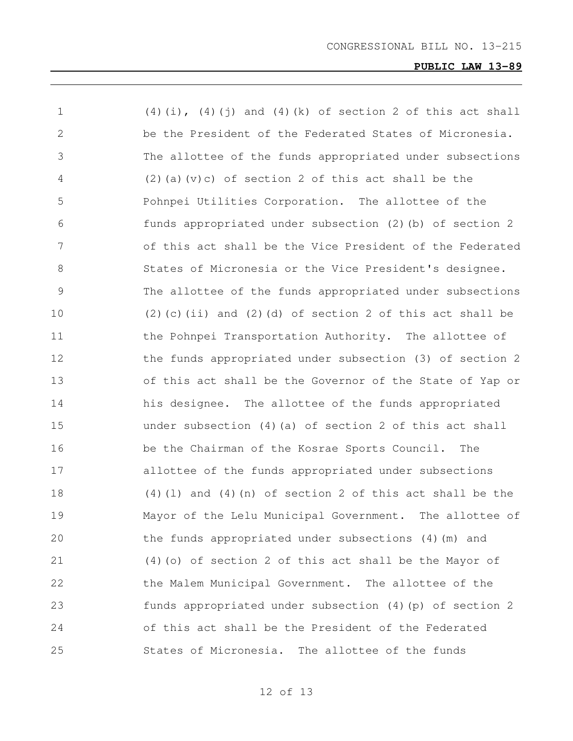| 1             | $(4)(i)$ , $(4)(j)$ and $(4)(k)$ of section 2 of this act shall |
|---------------|-----------------------------------------------------------------|
| $\mathbf{2}$  | be the President of the Federated States of Micronesia.         |
| 3             | The allottee of the funds appropriated under subsections        |
| 4             | $(2)$ (a) (v) c) of section 2 of this act shall be the          |
| 5             | Pohnpei Utilities Corporation. The allottee of the              |
| 6             | funds appropriated under subsection (2) (b) of section 2        |
| 7             | of this act shall be the Vice President of the Federated        |
| 8             | States of Micronesia or the Vice President's designee.          |
| $\mathcal{G}$ | The allottee of the funds appropriated under subsections        |
| 10            | $(2)$ (c) (ii) and $(2)$ (d) of section 2 of this act shall be  |
| 11            | the Pohnpei Transportation Authority. The allottee of           |
| 12            | the funds appropriated under subsection (3) of section 2        |
| 13            | of this act shall be the Governor of the State of Yap or        |
| 14            | his designee. The allottee of the funds appropriated            |
| 15            | under subsection $(4)$ (a) of section 2 of this act shall       |
| 16            | be the Chairman of the Kosrae Sports Council. The               |
| 17            | allottee of the funds appropriated under subsections            |
| 18            | $(4)$ (1) and $(4)$ (n) of section 2 of this act shall be the   |
| 19            | Mayor of the Lelu Municipal Government. The allottee of         |
| 20            | the funds appropriated under subsections (4) (m) and            |
| 21            | (4) (o) of section 2 of this act shall be the Mayor of          |
| 22            | the Malem Municipal Government. The allottee of the             |
| 23            | funds appropriated under subsection (4) (p) of section 2        |
| 24            | of this act shall be the President of the Federated             |
| 25            | States of Micronesia. The allottee of the funds                 |